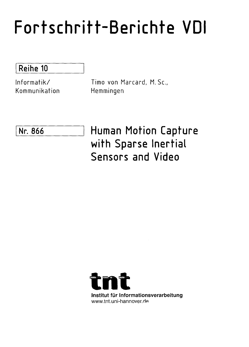## Fortschritt-Berichte VDI

Reihe 10

Informatik/ Kommunikation Timo von Marcard, M. Sc., Hemmingen

Nr. 866 Human Motion Capture with Sparse Inertial Sensors and Video

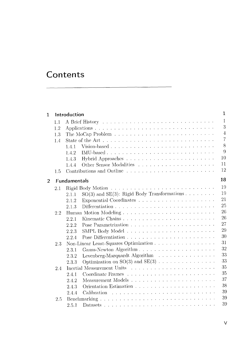## **Contents**

| 1              | $\mathbf{1}$<br>Introduction |                     |                                                                                                                                     |                |  |  |  |
|----------------|------------------------------|---------------------|-------------------------------------------------------------------------------------------------------------------------------------|----------------|--|--|--|
|                | 1.1                          |                     |                                                                                                                                     | 1              |  |  |  |
|                | 1.2                          |                     |                                                                                                                                     | 3              |  |  |  |
|                | 1.3                          |                     |                                                                                                                                     | $\overline{4}$ |  |  |  |
|                | 1.4                          |                     |                                                                                                                                     | $\overline{7}$ |  |  |  |
|                |                              | 1.4.1               | Vision-based                                                                                                                        | 8              |  |  |  |
|                |                              | 1.4.2               |                                                                                                                                     | 9              |  |  |  |
|                |                              | 1.4.3               |                                                                                                                                     | 10             |  |  |  |
|                |                              | 1.4.4               |                                                                                                                                     | 11             |  |  |  |
|                | 1.5                          |                     | Contributions and Outline                                                                                                           | 12             |  |  |  |
| $\overline{2}$ |                              | <b>Fundamentals</b> |                                                                                                                                     | 18             |  |  |  |
|                |                              |                     |                                                                                                                                     | 19             |  |  |  |
|                | 2.1                          |                     |                                                                                                                                     | 19             |  |  |  |
|                |                              | 2.1.1               | $SO(3)$ and $SE(3)$ : Rigid Body Transformations                                                                                    | 21             |  |  |  |
|                |                              | 2.1.2               |                                                                                                                                     | 25             |  |  |  |
|                |                              | 2.1.3               |                                                                                                                                     | 26             |  |  |  |
|                | 2.2                          |                     |                                                                                                                                     | 26             |  |  |  |
|                |                              | 2.2.1               |                                                                                                                                     | 27             |  |  |  |
|                |                              | 2.2.2               |                                                                                                                                     | 29             |  |  |  |
|                |                              | 2.2.3               |                                                                                                                                     | 30             |  |  |  |
|                |                              | 2.2.4               |                                                                                                                                     | 31             |  |  |  |
|                | 2.3                          |                     | Non-Linear Least-Squares Optimization                                                                                               | 32             |  |  |  |
|                |                              | 2.3.1               |                                                                                                                                     | 33             |  |  |  |
|                |                              | 2.3.2               | Levenberg-Marquardt Algorithm                                                                                                       |                |  |  |  |
|                |                              | 2.3.3               | Optimization on $SO(3)$ and $SE(3)$                                                                                                 | 33<br>35       |  |  |  |
|                | 2.4                          |                     |                                                                                                                                     |                |  |  |  |
|                |                              | 2.4.1               |                                                                                                                                     | 35             |  |  |  |
|                |                              | 2.4.2               |                                                                                                                                     | 37             |  |  |  |
|                |                              | 2.4.3               |                                                                                                                                     | 38             |  |  |  |
|                |                              | 2.4.4               | .<br>The contract of the contract of the contract of the contract of the contract of the contract of the contract of<br>Calibration | 39             |  |  |  |
|                | 2.5                          |                     |                                                                                                                                     | 39             |  |  |  |
|                |                              | 2.5.1               |                                                                                                                                     | 39             |  |  |  |